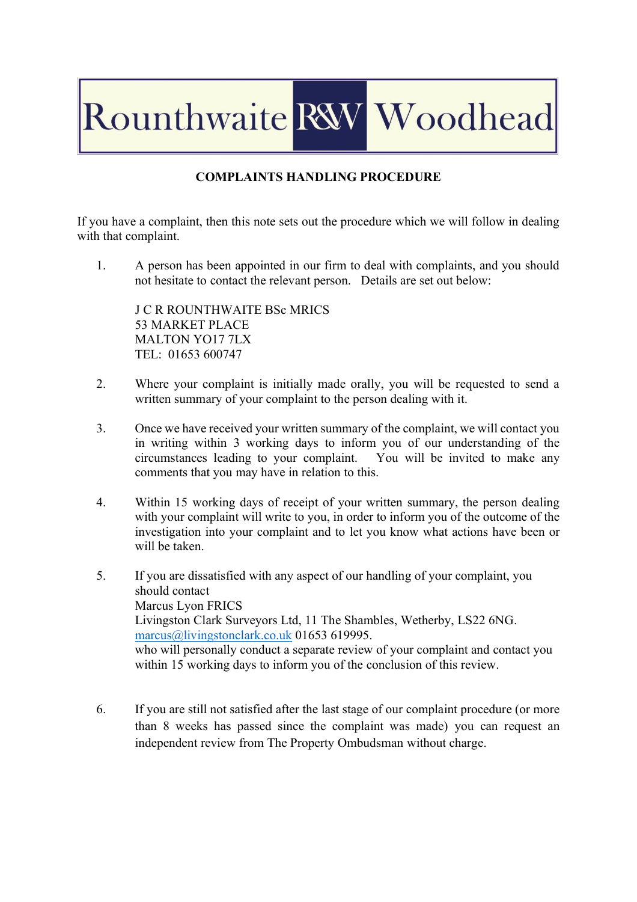## Rounthwaite RW Woodhead

## **COMPLAINTS HANDLING PROCEDURE**

If you have a complaint, then this note sets out the procedure which we will follow in dealing with that complaint.

1. A person has been appointed in our firm to deal with complaints, and you should not hesitate to contact the relevant person. Details are set out below:

J C R ROUNTHWAITE BSc MRICS 53 MARKET PLACE MALTON YO17 7LX TEL: 01653 600747

- 2. Where your complaint is initially made orally, you will be requested to send a written summary of your complaint to the person dealing with it.
- 3. Once we have received your written summary of the complaint, we will contact you in writing within 3 working days to inform you of our understanding of the circumstances leading to your complaint. You will be invited to make any comments that you may have in relation to this.
- 4. Within 15 working days of receipt of your written summary, the person dealing with your complaint will write to you, in order to inform you of the outcome of the investigation into your complaint and to let you know what actions have been or will be taken.
- 5. If you are dissatisfied with any aspect of our handling of your complaint, you should contact Marcus Lyon FRICS Livingston Clark Surveyors Ltd, 11 The Shambles, Wetherby, LS22 6NG. marcus@livingstonclark.co.uk 01653 619995. who will personally conduct a separate review of your complaint and contact you within 15 working days to inform you of the conclusion of this review.
- 6. If you are still not satisfied after the last stage of our complaint procedure (or more than 8 weeks has passed since the complaint was made) you can request an independent review from The Property Ombudsman without charge.